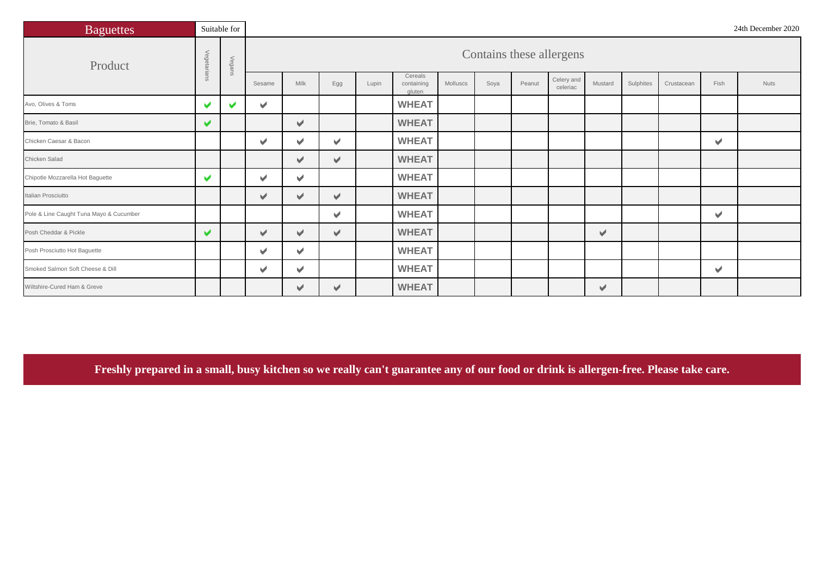| <b>Baguettes</b>                        |                      | Suitable for          |                       |                       |                       |       |                                 |          |      |        |                          |                      |           |            |      | 24th December 2020 |
|-----------------------------------------|----------------------|-----------------------|-----------------------|-----------------------|-----------------------|-------|---------------------------------|----------|------|--------|--------------------------|----------------------|-----------|------------|------|--------------------|
| Product                                 | Vegetarians          | Vegans                |                       |                       |                       |       |                                 |          |      |        | Contains these allergens |                      |           |            |      |                    |
|                                         |                      |                       | Sesame                | Milk                  | Egg                   | Lupin | Cereals<br>containing<br>gluten | Molluscs | Soya | Peanut | Celery and<br>celeriac   | Mustard              | Sulphites | Crustacean | Fish | <b>Nuts</b>        |
| Avo, Olives & Toms                      | $\blacktriangledown$ | $\blacktriangleright$ | $\blacktriangleright$ |                       |                       |       | <b>WHEAT</b>                    |          |      |        |                          |                      |           |            |      |                    |
| Brie, Tomato & Basil                    | $\blacktriangledown$ |                       |                       | $\blacktriangledown$  |                       |       | <b>WHEAT</b>                    |          |      |        |                          |                      |           |            |      |                    |
| Chicken Caesar & Bacon                  |                      |                       | $\blacktriangleright$ | $\blacktriangleright$ | V                     |       | <b>WHEAT</b>                    |          |      |        |                          |                      |           |            | v    |                    |
| Chicken Salad                           |                      |                       |                       | $\blacktriangledown$  | V                     |       | <b>WHEAT</b>                    |          |      |        |                          |                      |           |            |      |                    |
| Chipotle Mozzarella Hot Baguette        | $\blacktriangledown$ |                       | v                     | $\mathbf{v}$          |                       |       | <b>WHEAT</b>                    |          |      |        |                          |                      |           |            |      |                    |
| Italian Prosciutto                      |                      |                       | $\blacktriangleright$ | $\blacktriangleright$ | V                     |       | <b>WHEAT</b>                    |          |      |        |                          |                      |           |            |      |                    |
| Pole & Line Caught Tuna Mayo & Cucumber |                      |                       |                       |                       | v                     |       | <b>WHEAT</b>                    |          |      |        |                          |                      |           |            | v    |                    |
| Posh Cheddar & Pickle                   | $\blacktriangledown$ |                       | $\blacktriangleright$ | $\blacktriangledown$  | ✔                     |       | <b>WHEAT</b>                    |          |      |        |                          | $\blacktriangledown$ |           |            |      |                    |
| Posh Prosciutto Hot Baguette            |                      |                       | $\blacktriangleright$ | $\mathbf{r}$          |                       |       | <b>WHEAT</b>                    |          |      |        |                          |                      |           |            |      |                    |
| Smoked Salmon Soft Cheese & Dill        |                      |                       | $\blacktriangleright$ | $\blacktriangleright$ |                       |       | <b>WHEAT</b>                    |          |      |        |                          |                      |           |            | v    |                    |
| Wiltshire-Cured Ham & Greve             |                      |                       |                       | v                     | $\blacktriangleright$ |       | <b>WHEAT</b>                    |          |      |        |                          | V                    |           |            |      |                    |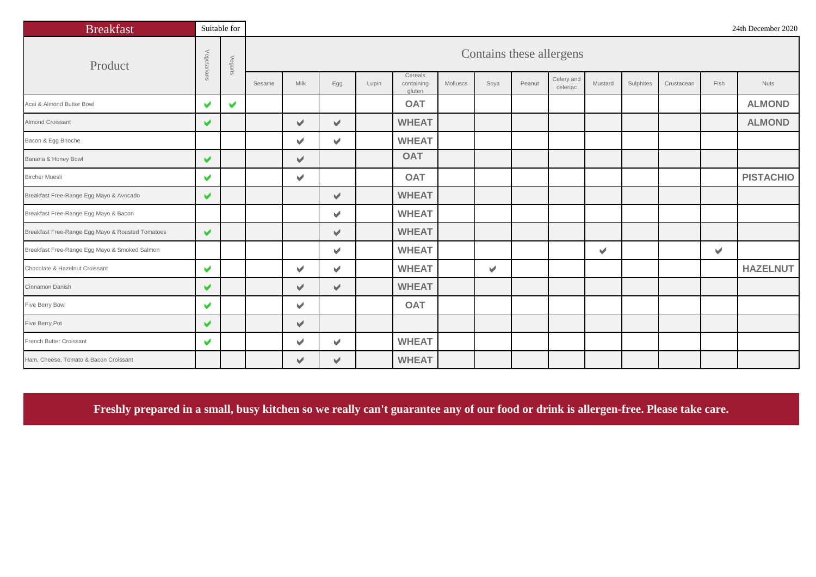| <b>Breakfast</b>                                 |                       | Suitable for          |        |                       |                       |       |                                 |          |      |                          |                        |         |           |            |        | 24th December 2020 |
|--------------------------------------------------|-----------------------|-----------------------|--------|-----------------------|-----------------------|-------|---------------------------------|----------|------|--------------------------|------------------------|---------|-----------|------------|--------|--------------------|
| Product                                          | Vegetarians           | Vegans                |        |                       |                       |       |                                 |          |      | Contains these allergens |                        |         |           |            |        |                    |
|                                                  |                       |                       | Sesame | Milk                  | Egg                   | Lupin | Cereals<br>containing<br>gluten | Molluscs | Soya | Peanut                   | Celery and<br>celeriac | Mustard | Sulphites | Crustacean | Fish   | <b>Nuts</b>        |
| Acai & Almond Butter Bowl                        | V                     | $\blacktriangleright$ |        |                       |                       |       | <b>OAT</b>                      |          |      |                          |                        |         |           |            |        | <b>ALMOND</b>      |
| <b>Almond Croissant</b>                          | ✔                     |                       |        | ✔                     | ✔                     |       | <b>WHEAT</b>                    |          |      |                          |                        |         |           |            |        | <b>ALMOND</b>      |
| Bacon & Egg Brioche                              |                       |                       |        | v                     | $\blacktriangleright$ |       | <b>WHEAT</b>                    |          |      |                          |                        |         |           |            |        |                    |
| Banana & Honey Bowl                              | $\blacktriangledown$  |                       |        | $\blacktriangleright$ |                       |       | <b>OAT</b>                      |          |      |                          |                        |         |           |            |        |                    |
| <b>Bircher Muesli</b>                            | V                     |                       |        | $\mathbf{v}$          |                       |       | <b>OAT</b>                      |          |      |                          |                        |         |           |            |        | <b>PISTACHIO</b>   |
| Breakfast Free-Range Egg Mayo & Avocado          | $\blacktriangleright$ |                       |        |                       | V                     |       | <b>WHEAT</b>                    |          |      |                          |                        |         |           |            |        |                    |
| Breakfast Free-Range Egg Mayo & Bacon            |                       |                       |        |                       | $\blacktriangleright$ |       | <b>WHEAT</b>                    |          |      |                          |                        |         |           |            |        |                    |
| Breakfast Free-Range Egg Mayo & Roasted Tomatoes | ✔                     |                       |        |                       | ✔                     |       | <b>WHEAT</b>                    |          |      |                          |                        |         |           |            |        |                    |
| Breakfast Free-Range Egg Mayo & Smoked Salmon    |                       |                       |        |                       | ✔                     |       | <b>WHEAT</b>                    |          |      |                          |                        | v.      |           |            | $\vee$ |                    |
| Chocolate & Hazelnut Croissant                   | $\blacktriangleright$ |                       |        | $\blacktriangleright$ | V                     |       | <b>WHEAT</b>                    |          | V    |                          |                        |         |           |            |        | <b>HAZELNUT</b>    |
| Cinnamon Danish                                  | ✔                     |                       |        | $\blacktriangleright$ | $\blacktriangleright$ |       | <b>WHEAT</b>                    |          |      |                          |                        |         |           |            |        |                    |
| Five Berry Bowl                                  | $\blacktriangleright$ |                       |        | $\blacktriangleright$ |                       |       | <b>OAT</b>                      |          |      |                          |                        |         |           |            |        |                    |
| Five Berry Pot                                   | ✔                     |                       |        | $\blacktriangleright$ |                       |       |                                 |          |      |                          |                        |         |           |            |        |                    |
| French Butter Croissant                          | ✔                     |                       |        | v                     | V                     |       | <b>WHEAT</b>                    |          |      |                          |                        |         |           |            |        |                    |
| Ham, Cheese, Tomato & Bacon Croissant            |                       |                       |        | $\blacktriangleright$ | ✔                     |       | <b>WHEAT</b>                    |          |      |                          |                        |         |           |            |        |                    |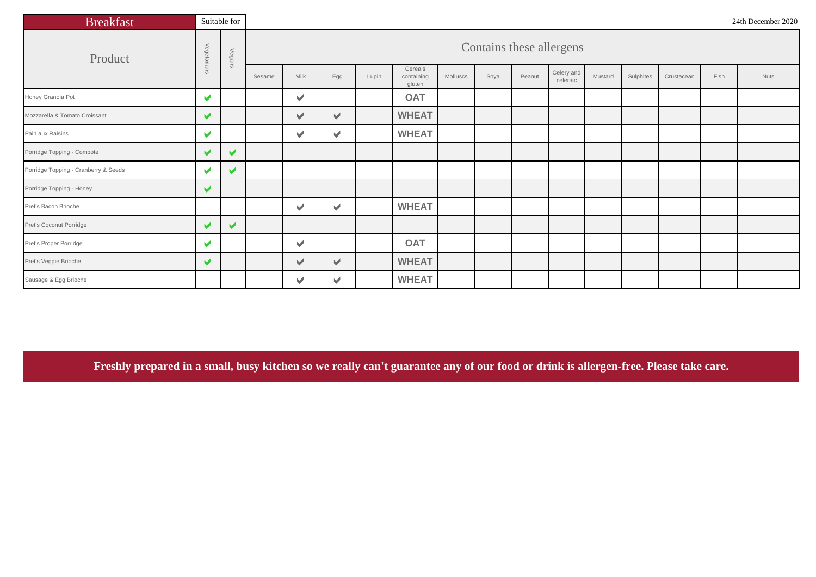| <b>Breakfast</b>                     |                       | Suitable for |        |                       |                      |       |                                 |          |      |                          |                        |         |           |            |      | 24th December 2020 |
|--------------------------------------|-----------------------|--------------|--------|-----------------------|----------------------|-------|---------------------------------|----------|------|--------------------------|------------------------|---------|-----------|------------|------|--------------------|
| Product                              | Vegetarians           | Vegans       |        |                       |                      |       |                                 |          |      | Contains these allergens |                        |         |           |            |      |                    |
|                                      |                       |              | Sesame | Milk                  | Egg                  | Lupin | Cereals<br>containing<br>gluten | Molluscs | Soya | Peanut                   | Celery and<br>celeriac | Mustard | Sulphites | Crustacean | Fish | <b>Nuts</b>        |
| Honey Granola Pot                    | $\blacktriangledown$  |              |        | $\blacktriangleright$ |                      |       | <b>OAT</b>                      |          |      |                          |                        |         |           |            |      |                    |
| Mozzarella & Tomato Croissant        | $\blacktriangledown$  |              |        | $\blacktriangledown$  | $\blacktriangledown$ |       | <b>WHEAT</b>                    |          |      |                          |                        |         |           |            |      |                    |
| Pain aux Raisins                     | $\blacktriangledown$  |              |        | $\blacktriangleright$ | $\blacktriangledown$ |       | <b>WHEAT</b>                    |          |      |                          |                        |         |           |            |      |                    |
| Porridge Topping - Compote           | $\blacktriangledown$  | ✔            |        |                       |                      |       |                                 |          |      |                          |                        |         |           |            |      |                    |
| Porridge Topping - Cranberry & Seeds | $\blacktriangleright$ | V            |        |                       |                      |       |                                 |          |      |                          |                        |         |           |            |      |                    |
| Porridge Topping - Honey             | $\blacktriangledown$  |              |        |                       |                      |       |                                 |          |      |                          |                        |         |           |            |      |                    |
| Pret's Bacon Brioche                 |                       |              |        | $\blacktriangleright$ | V                    |       | <b>WHEAT</b>                    |          |      |                          |                        |         |           |            |      |                    |
| Pret's Coconut Porridge              | $\blacktriangledown$  | ✔            |        |                       |                      |       |                                 |          |      |                          |                        |         |           |            |      |                    |
| Pret's Proper Porridge               | $\blacktriangleright$ |              |        | $\mathbf{v}$          |                      |       | <b>OAT</b>                      |          |      |                          |                        |         |           |            |      |                    |
| Pret's Veggie Brioche                | $\blacktriangleright$ |              |        | $\blacktriangleright$ | $\blacktriangledown$ |       | <b>WHEAT</b>                    |          |      |                          |                        |         |           |            |      |                    |
| Sausage & Egg Brioche                |                       |              |        | $\blacktriangledown$  | V                    |       | <b>WHEAT</b>                    |          |      |                          |                        |         |           |            |      |                    |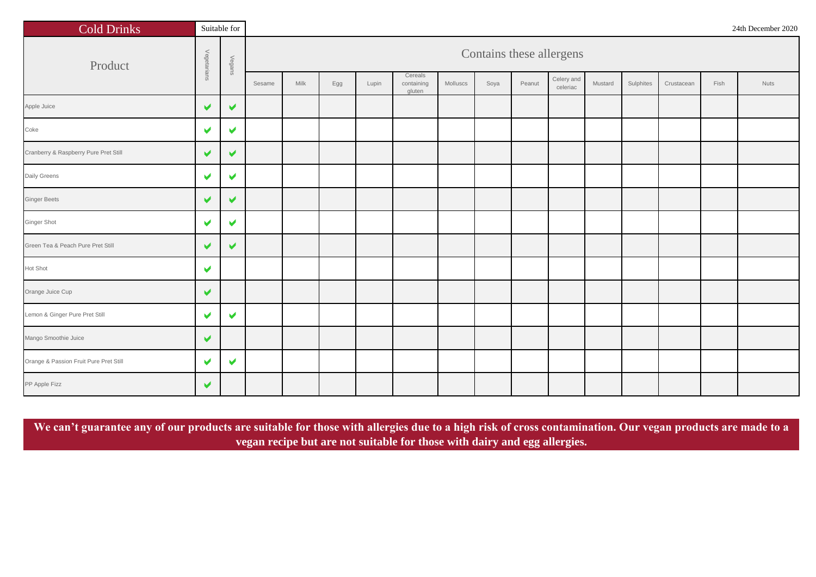| <b>Cold Drinks</b>                     |                       | Suitable for         |        |      |                                    |       |                                 |          |      |                          |                        |         |           |            |      | 24th December 2020 |
|----------------------------------------|-----------------------|----------------------|--------|------|------------------------------------|-------|---------------------------------|----------|------|--------------------------|------------------------|---------|-----------|------------|------|--------------------|
| Product                                | Vegetarians           | Vegans               |        |      |                                    |       |                                 |          |      | Contains these allergens |                        |         |           |            |      |                    |
|                                        |                       |                      | Sesame | Milk | $\mathsf{E} \mathsf{g} \mathsf{g}$ | Lupin | Cereals<br>containing<br>gluten | Molluscs | Soya | Peanut                   | Celery and<br>celeriac | Mustard | Sulphites | Crustacean | Fish | <b>Nuts</b>        |
| Apple Juice                            | ✔                     | ✔                    |        |      |                                    |       |                                 |          |      |                          |                        |         |           |            |      |                    |
| Coke                                   | V                     | V                    |        |      |                                    |       |                                 |          |      |                          |                        |         |           |            |      |                    |
| Cranberry & Raspberry Pure Pret Still  | $\blacktriangleright$ | ✔                    |        |      |                                    |       |                                 |          |      |                          |                        |         |           |            |      |                    |
| Daily Greens                           | V                     | V                    |        |      |                                    |       |                                 |          |      |                          |                        |         |           |            |      |                    |
| <b>Ginger Beets</b>                    | ✔                     | ✔                    |        |      |                                    |       |                                 |          |      |                          |                        |         |           |            |      |                    |
| Ginger Shot                            | $\blacktriangledown$  | $\blacktriangledown$ |        |      |                                    |       |                                 |          |      |                          |                        |         |           |            |      |                    |
| Green Tea & Peach Pure Pret Still      | ✔                     | V                    |        |      |                                    |       |                                 |          |      |                          |                        |         |           |            |      |                    |
| <b>Hot Shot</b>                        | $\blacktriangleright$ |                      |        |      |                                    |       |                                 |          |      |                          |                        |         |           |            |      |                    |
| Orange Juice Cup                       | ✔                     |                      |        |      |                                    |       |                                 |          |      |                          |                        |         |           |            |      |                    |
| Lemon & Ginger Pure Pret Still         | V                     | V                    |        |      |                                    |       |                                 |          |      |                          |                        |         |           |            |      |                    |
| Mango Smoothie Juice                   | $\blacktriangleright$ |                      |        |      |                                    |       |                                 |          |      |                          |                        |         |           |            |      |                    |
| Orange & Passion Fruit Pure Pret Still | $\blacktriangleright$ | $\blacktriangledown$ |        |      |                                    |       |                                 |          |      |                          |                        |         |           |            |      |                    |
| PP Apple Fizz                          | $\blacktriangleright$ |                      |        |      |                                    |       |                                 |          |      |                          |                        |         |           |            |      |                    |

**We can't guarantee any of our products are suitable for those with allergies due to a high risk of cross contamination. Our vegan products are made to a vegan recipe but are not suitable for those with dairy and egg allergies.**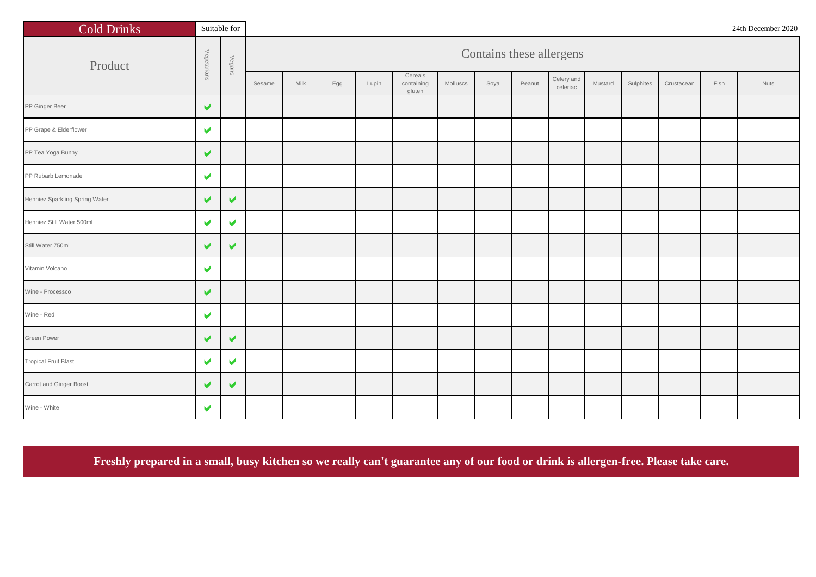| <b>Cold Drinks</b>             |                      | Suitable for         |        |      |                                    |       |                                 |          |      |                          |                        |         |           |            |      | 24th December 2020 |
|--------------------------------|----------------------|----------------------|--------|------|------------------------------------|-------|---------------------------------|----------|------|--------------------------|------------------------|---------|-----------|------------|------|--------------------|
| Product                        | Vegetarians          | Vegans               |        |      |                                    |       |                                 |          |      | Contains these allergens |                        |         |           |            |      |                    |
|                                |                      |                      | Sesame | Milk | $\mathsf{E} \mathsf{g} \mathsf{g}$ | Lupin | Cereals<br>containing<br>gluten | Molluscs | Soya | Peanut                   | Celery and<br>celeriac | Mustard | Sulphites | Crustacean | Fish | Nuts               |
| PP Ginger Beer                 | V                    |                      |        |      |                                    |       |                                 |          |      |                          |                        |         |           |            |      |                    |
| PP Grape & Elderflower         | $\blacktriangledown$ |                      |        |      |                                    |       |                                 |          |      |                          |                        |         |           |            |      |                    |
| PP Tea Yoga Bunny              | ✔                    |                      |        |      |                                    |       |                                 |          |      |                          |                        |         |           |            |      |                    |
| PP Rubarb Lemonade             | V                    |                      |        |      |                                    |       |                                 |          |      |                          |                        |         |           |            |      |                    |
| Henniez Sparkling Spring Water | V                    | ✔                    |        |      |                                    |       |                                 |          |      |                          |                        |         |           |            |      |                    |
| Henniez Still Water 500ml      | ✔                    | V                    |        |      |                                    |       |                                 |          |      |                          |                        |         |           |            |      |                    |
| Still Water 750ml              | V                    | V.                   |        |      |                                    |       |                                 |          |      |                          |                        |         |           |            |      |                    |
| Vitamin Volcano                | V                    |                      |        |      |                                    |       |                                 |          |      |                          |                        |         |           |            |      |                    |
| Wine - Processco               | ✔                    |                      |        |      |                                    |       |                                 |          |      |                          |                        |         |           |            |      |                    |
| Wine - Red                     | $\blacktriangledown$ |                      |        |      |                                    |       |                                 |          |      |                          |                        |         |           |            |      |                    |
| <b>Green Power</b>             | V                    | $\blacktriangledown$ |        |      |                                    |       |                                 |          |      |                          |                        |         |           |            |      |                    |
| <b>Tropical Fruit Blast</b>    | V                    | ✔                    |        |      |                                    |       |                                 |          |      |                          |                        |         |           |            |      |                    |
| Carrot and Ginger Boost        | $\blacktriangledown$ | $\blacktriangledown$ |        |      |                                    |       |                                 |          |      |                          |                        |         |           |            |      |                    |
| Wine - White                   | V                    |                      |        |      |                                    |       |                                 |          |      |                          |                        |         |           |            |      |                    |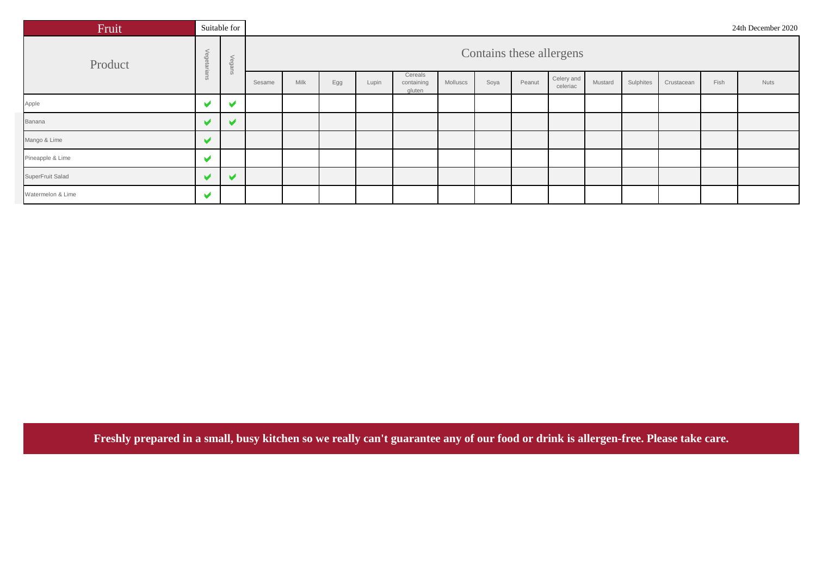| Fruit             |                          | Suitable for          |        |      |     |       |                                 |          |      |                          |                        |         |           |            |      | 24th December 2020 |
|-------------------|--------------------------|-----------------------|--------|------|-----|-------|---------------------------------|----------|------|--------------------------|------------------------|---------|-----------|------------|------|--------------------|
| Product           | Vegetal<br>$\frac{1}{6}$ | Vegans                |        |      |     |       |                                 |          |      | Contains these allergens |                        |         |           |            |      |                    |
|                   | $\vec{r}$                |                       | Sesame | Milk | Egg | Lupin | Cereals<br>containing<br>gluten | Molluscs | Soya | Peanut                   | Celery and<br>celeriac | Mustard | Sulphites | Crustacean | Fish | <b>Nuts</b>        |
| Apple             | $\blacktriangleright$    | $\blacktriangleright$ |        |      |     |       |                                 |          |      |                          |                        |         |           |            |      |                    |
| Banana            | M                        | M                     |        |      |     |       |                                 |          |      |                          |                        |         |           |            |      |                    |
| Mango & Lime      | $\overline{\phantom{0}}$ |                       |        |      |     |       |                                 |          |      |                          |                        |         |           |            |      |                    |
| Pineapple & Lime  | $\overline{\phantom{0}}$ |                       |        |      |     |       |                                 |          |      |                          |                        |         |           |            |      |                    |
| SuperFruit Salad  | M                        | $\blacktriangleright$ |        |      |     |       |                                 |          |      |                          |                        |         |           |            |      |                    |
| Watermelon & Lime | $\blacktriangleright$    |                       |        |      |     |       |                                 |          |      |                          |                        |         |           |            |      |                    |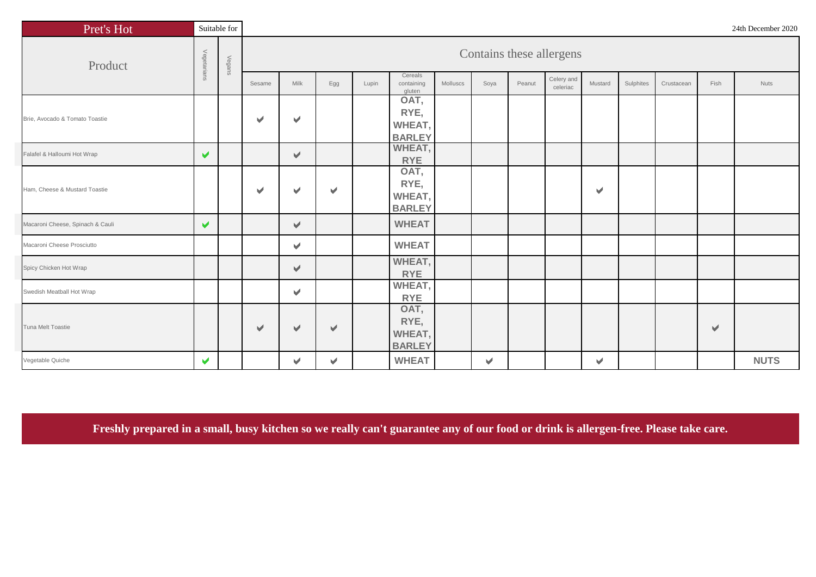| Pret's Hot                       |                       | Suitable for |        |                       |                       |       |                                         |          |      |                          |                        |         |           |            |      | 24th December 2020 |
|----------------------------------|-----------------------|--------------|--------|-----------------------|-----------------------|-------|-----------------------------------------|----------|------|--------------------------|------------------------|---------|-----------|------------|------|--------------------|
| Product                          | Vegetarians           | Vegans       |        |                       |                       |       |                                         |          |      | Contains these allergens |                        |         |           |            |      |                    |
|                                  |                       |              | Sesame | Milk                  | Egg                   | Lupin | Cereals<br>containing<br>gluten         | Molluscs | Soya | Peanut                   | Celery and<br>celeriac | Mustard | Sulphites | Crustacean | Fish | <b>Nuts</b>        |
| Brie, Avocado & Tomato Toastie   |                       |              | v      | V                     |                       |       | OAT,<br>RYE,<br>WHEAT,<br><b>BARLEY</b> |          |      |                          |                        |         |           |            |      |                    |
| Falafel & Halloumi Hot Wrap      | $\blacktriangledown$  |              |        | $\blacktriangleright$ |                       |       | WHEAT,<br><b>RYE</b>                    |          |      |                          |                        |         |           |            |      |                    |
| Ham, Cheese & Mustard Toastie    |                       |              | w      | ✔                     | ✔                     |       | OAT,<br>RYE,<br>WHEAT,<br><b>BARLEY</b> |          |      |                          |                        | V       |           |            |      |                    |
| Macaroni Cheese, Spinach & Cauli | $\blacktriangledown$  |              |        | $\blacktriangleright$ |                       |       | <b>WHEAT</b>                            |          |      |                          |                        |         |           |            |      |                    |
| Macaroni Cheese Prosciutto       |                       |              |        | $\blacktriangleright$ |                       |       | <b>WHEAT</b>                            |          |      |                          |                        |         |           |            |      |                    |
| Spicy Chicken Hot Wrap           |                       |              |        | V                     |                       |       | WHEAT,<br><b>RYE</b>                    |          |      |                          |                        |         |           |            |      |                    |
| Swedish Meatball Hot Wrap        |                       |              |        | $\blacktriangledown$  |                       |       | WHEAT,<br><b>RYE</b>                    |          |      |                          |                        |         |           |            |      |                    |
| Tuna Melt Toastie                |                       |              |        | V                     | ✔                     |       | OAT,<br>RYE,<br>WHEAT,<br><b>BARLEY</b> |          |      |                          |                        |         |           |            | V    |                    |
| Vegetable Quiche                 | $\blacktriangleright$ |              |        | v                     | $\blacktriangleright$ |       | <b>WHEAT</b>                            |          | v    |                          |                        | V       |           |            |      | <b>NUTS</b>        |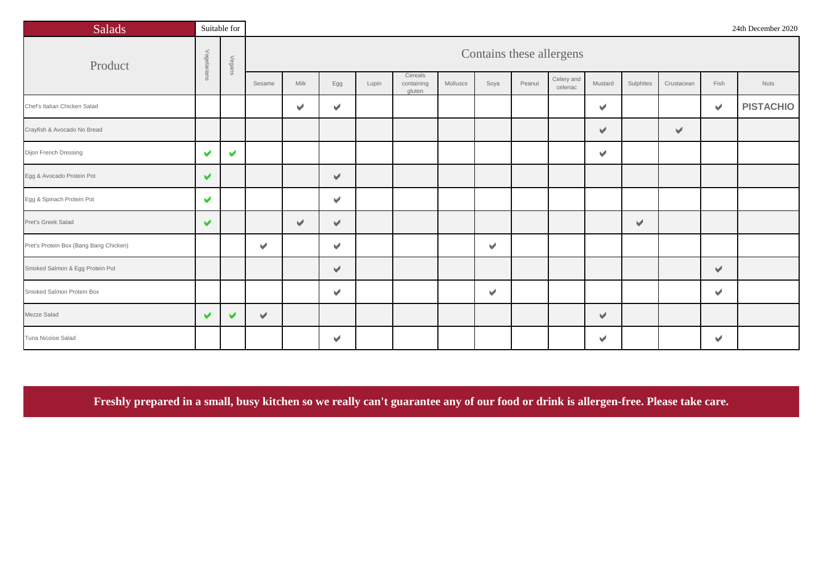| <b>Salads</b>                          |                       | Suitable for          |                       |      |                       |       |                                 |          |      |        |                          |         |           |            |                       | 24th December 2020 |
|----------------------------------------|-----------------------|-----------------------|-----------------------|------|-----------------------|-------|---------------------------------|----------|------|--------|--------------------------|---------|-----------|------------|-----------------------|--------------------|
| Product                                | Vegetarians           | Vegans                |                       |      |                       |       |                                 |          |      |        | Contains these allergens |         |           |            |                       |                    |
|                                        |                       |                       | Sesame                | Milk | Egg                   | Lupin | Cereals<br>containing<br>gluten | Molluscs | Soya | Peanut | Celery and<br>celeriac   | Mustard | Sulphites | Crustacean | Fish                  | <b>Nuts</b>        |
| Chef's Italian Chicken Salad           |                       |                       |                       | V    | $\blacktriangledown$  |       |                                 |          |      |        |                          | V       |           |            | $\blacktriangledown$  | <b>PISTACHIO</b>   |
| Crayfish & Avocado No Bread            |                       |                       |                       |      |                       |       |                                 |          |      |        |                          | ✔       |           | V          |                       |                    |
| Dijon French Dressing                  | $\blacktriangleright$ | V                     |                       |      |                       |       |                                 |          |      |        |                          | V       |           |            |                       |                    |
| Egg & Avocado Protein Pot              | $\blacktriangleright$ |                       |                       |      | ✔                     |       |                                 |          |      |        |                          |         |           |            |                       |                    |
| Egg & Spinach Protein Pot              | $\blacktriangleright$ |                       |                       |      | $\blacktriangleright$ |       |                                 |          |      |        |                          |         |           |            |                       |                    |
| Pret's Greek Salad                     | $\blacktriangleright$ |                       |                       | V    | $\blacktriangledown$  |       |                                 |          |      |        |                          |         | V         |            |                       |                    |
| Pret's Protein Box (Bang Bang Chicken) |                       |                       | $\blacktriangleright$ |      | $\blacktriangledown$  |       |                                 |          | V    |        |                          |         |           |            |                       |                    |
| Smoked Salmon & Egg Protein Pot        |                       |                       |                       |      | V                     |       |                                 |          |      |        |                          |         |           |            | $\blacktriangleright$ |                    |
| Smoked Salmon Protein Box              |                       |                       |                       |      | $\blacktriangledown$  |       |                                 |          | V    |        |                          |         |           |            | V                     |                    |
| Mezze Salad                            | ✔                     | $\blacktriangleright$ | V                     |      |                       |       |                                 |          |      |        |                          | ✔       |           |            |                       |                    |
| Tuna Nicoise Salad                     |                       |                       |                       |      | $\blacktriangledown$  |       |                                 |          |      |        |                          | v       |           |            | $\blacktriangleright$ |                    |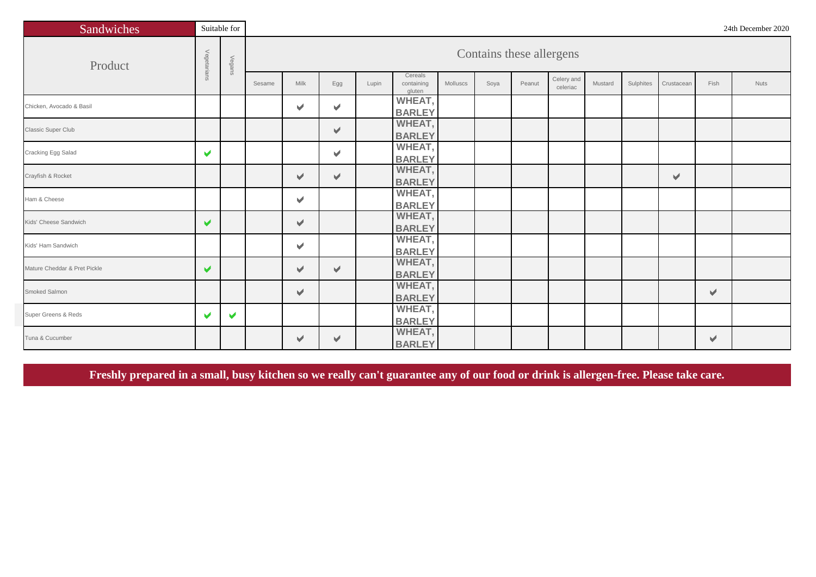| Sandwiches                   |                       | Suitable for         |        |                       |                      |       |                                 |          |                          |        |                        |         |           |            |      | 24th December 2020 |
|------------------------------|-----------------------|----------------------|--------|-----------------------|----------------------|-------|---------------------------------|----------|--------------------------|--------|------------------------|---------|-----------|------------|------|--------------------|
| Product                      | Vegetarians           | Vegans               |        |                       |                      |       |                                 |          | Contains these allergens |        |                        |         |           |            |      |                    |
|                              |                       |                      | Sesame | <b>Milk</b>           | Egg                  | Lupin | Cereals<br>containing<br>gluten | Molluscs | Soya                     | Peanut | Celery and<br>celeriac | Mustard | Sulphites | Crustacean | Fish | <b>Nuts</b>        |
| Chicken, Avocado & Basil     |                       |                      |        | $\blacktriangleright$ | $\blacktriangledown$ |       | WHEAT,<br><b>BARLEY</b>         |          |                          |        |                        |         |           |            |      |                    |
| Classic Super Club           |                       |                      |        |                       | $\blacktriangledown$ |       | <b>WHEAT,</b><br><b>BARLEY</b>  |          |                          |        |                        |         |           |            |      |                    |
| Cracking Egg Salad           | $\blacktriangleright$ |                      |        |                       | $\blacktriangledown$ |       | WHEAT,<br><b>BARLEY</b>         |          |                          |        |                        |         |           |            |      |                    |
| Crayfish & Rocket            |                       |                      |        | ✔                     | $\blacktriangledown$ |       | WHEAT,<br><b>BARLEY</b>         |          |                          |        |                        |         |           | V          |      |                    |
| Ham & Cheese                 |                       |                      |        | V                     |                      |       | WHEAT,<br><b>BARLEY</b>         |          |                          |        |                        |         |           |            |      |                    |
| Kids' Cheese Sandwich        | V                     |                      |        | ✔                     |                      |       | WHEAT,<br><b>BARLEY</b>         |          |                          |        |                        |         |           |            |      |                    |
| Kids' Ham Sandwich           |                       |                      |        | $\blacktriangledown$  |                      |       | WHEAT,<br><b>BARLEY</b>         |          |                          |        |                        |         |           |            |      |                    |
| Mature Cheddar & Pret Pickle | $\blacktriangledown$  |                      |        | V                     | $\blacktriangledown$ |       | WHEAT,<br><b>BARLEY</b>         |          |                          |        |                        |         |           |            |      |                    |
| Smoked Salmon                |                       |                      |        | V                     |                      |       | WHEAT,<br><b>BARLEY</b>         |          |                          |        |                        |         |           |            | V    |                    |
| Super Greens & Reds          | $\blacktriangledown$  | $\blacktriangledown$ |        |                       |                      |       | WHEAT,<br><b>BARLEY</b>         |          |                          |        |                        |         |           |            |      |                    |
| Tuna & Cucumber              |                       |                      |        | $\blacktriangleright$ | ✔                    |       | <b>WHEAT,</b><br><b>BARLEY</b>  |          |                          |        |                        |         |           |            | ✔    |                    |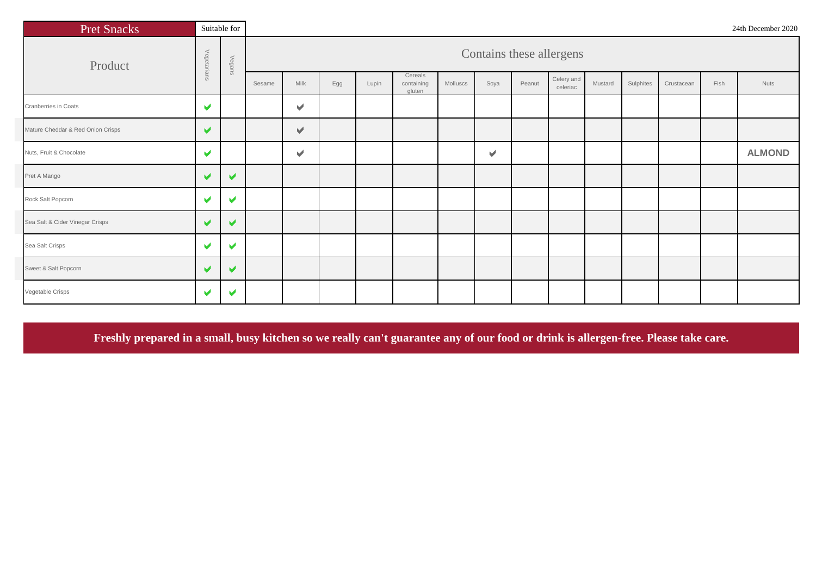| <b>Pret Snacks</b>                |                       | Suitable for          |        |                      |     |       |                                 |          |                       |                          |                        |         |           |            |      | 24th December 2020 |
|-----------------------------------|-----------------------|-----------------------|--------|----------------------|-----|-------|---------------------------------|----------|-----------------------|--------------------------|------------------------|---------|-----------|------------|------|--------------------|
| Product                           | Vegetarians           | Vegans                |        |                      |     |       |                                 |          |                       | Contains these allergens |                        |         |           |            |      |                    |
|                                   |                       |                       | Sesame | Milk                 | Egg | Lupin | Cereals<br>containing<br>gluten | Molluscs | Soya                  | Peanut                   | Celery and<br>celeriac | Mustard | Sulphites | Crustacean | Fish | <b>Nuts</b>        |
| Cranberries in Coats              | V                     |                       |        | V                    |     |       |                                 |          |                       |                          |                        |         |           |            |      |                    |
| Mature Cheddar & Red Onion Crisps | ✔                     |                       |        | $\blacktriangledown$ |     |       |                                 |          |                       |                          |                        |         |           |            |      |                    |
| Nuts, Fruit & Chocolate           | $\blacktriangleright$ |                       |        | $\blacktriangledown$ |     |       |                                 |          | $\blacktriangleright$ |                          |                        |         |           |            |      | <b>ALMOND</b>      |
| Pret A Mango                      | $\blacktriangleright$ | $\blacktriangledown$  |        |                      |     |       |                                 |          |                       |                          |                        |         |           |            |      |                    |
| Rock Salt Popcorn                 | ✔                     | $\blacktriangleright$ |        |                      |     |       |                                 |          |                       |                          |                        |         |           |            |      |                    |
| Sea Salt & Cider Vinegar Crisps   | $\blacktriangledown$  | $\blacktriangledown$  |        |                      |     |       |                                 |          |                       |                          |                        |         |           |            |      |                    |
| Sea Salt Crisps                   | V                     | $\blacktriangledown$  |        |                      |     |       |                                 |          |                       |                          |                        |         |           |            |      |                    |
| Sweet & Salt Popcorn              | V                     | ✔                     |        |                      |     |       |                                 |          |                       |                          |                        |         |           |            |      |                    |
| Vegetable Crisps                  | v                     | ✔                     |        |                      |     |       |                                 |          |                       |                          |                        |         |           |            |      |                    |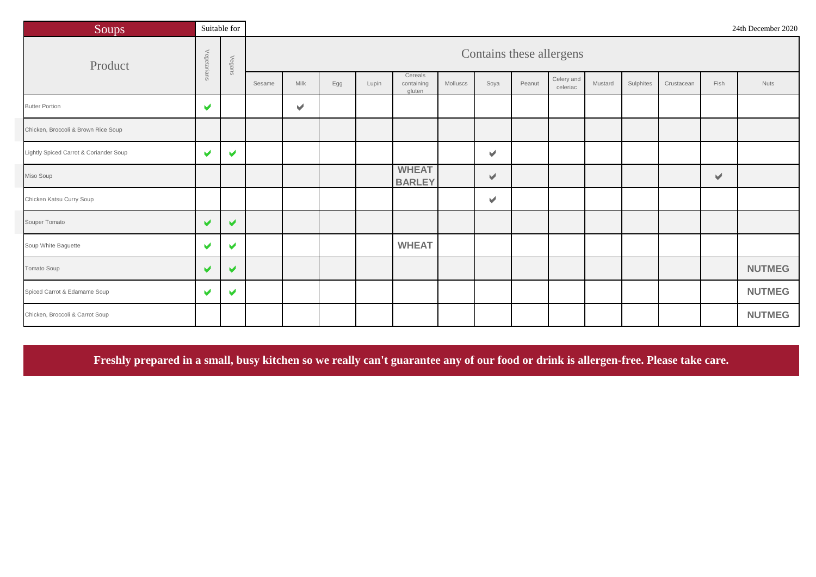| Soups                                  |                       | Suitable for |        |      |     |       |                                 |          |      |        |                          |         |           |            |                       | 24th December 2020 |
|----------------------------------------|-----------------------|--------------|--------|------|-----|-------|---------------------------------|----------|------|--------|--------------------------|---------|-----------|------------|-----------------------|--------------------|
| Product                                | Vegetarians           | Vegans       |        |      |     |       |                                 |          |      |        | Contains these allergens |         |           |            |                       |                    |
|                                        |                       |              | Sesame | Milk | Egg | Lupin | Cereals<br>containing<br>gluten | Molluscs | Soya | Peanut | Celery and<br>celeriac   | Mustard | Sulphites | Crustacean | Fish                  | <b>Nuts</b>        |
| <b>Butter Portion</b>                  | $\blacktriangleright$ |              |        | V    |     |       |                                 |          |      |        |                          |         |           |            |                       |                    |
| Chicken, Broccoli & Brown Rice Soup    |                       |              |        |      |     |       |                                 |          |      |        |                          |         |           |            |                       |                    |
| Lightly Spiced Carrot & Coriander Soup | $\blacktriangleright$ | V            |        |      |     |       |                                 |          | ✔    |        |                          |         |           |            |                       |                    |
| Miso Soup                              |                       |              |        |      |     |       | <b>WHEAT</b><br><b>BARLEY</b>   |          | ✔    |        |                          |         |           |            | $\blacktriangleright$ |                    |
| Chicken Katsu Curry Soup               |                       |              |        |      |     |       |                                 |          | V    |        |                          |         |           |            |                       |                    |
| Souper Tomato                          | $\blacktriangleright$ | ✔            |        |      |     |       |                                 |          |      |        |                          |         |           |            |                       |                    |
| Soup White Baguette                    | v                     | V            |        |      |     |       | <b>WHEAT</b>                    |          |      |        |                          |         |           |            |                       |                    |
| Tomato Soup                            | ✔                     | ✔            |        |      |     |       |                                 |          |      |        |                          |         |           |            |                       | <b>NUTMEG</b>      |
| Spiced Carrot & Edamame Soup           | v                     | ✔            |        |      |     |       |                                 |          |      |        |                          |         |           |            |                       | <b>NUTMEG</b>      |
| Chicken, Broccoli & Carrot Soup        |                       |              |        |      |     |       |                                 |          |      |        |                          |         |           |            |                       | <b>NUTMEG</b>      |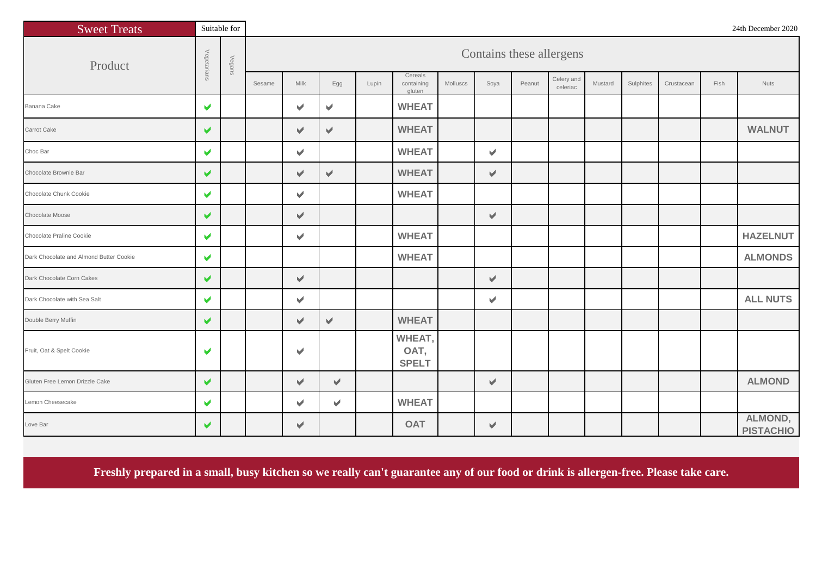| <b>Sweet Treats</b>                     |                       | Suitable for |        |                       |                      |       |                                 |          |                      |        |                          |         |           |            |      | 24th December 2020          |
|-----------------------------------------|-----------------------|--------------|--------|-----------------------|----------------------|-------|---------------------------------|----------|----------------------|--------|--------------------------|---------|-----------|------------|------|-----------------------------|
| Product                                 | Vegetarians           | Vegans       |        |                       |                      |       |                                 |          |                      |        | Contains these allergens |         |           |            |      |                             |
|                                         |                       |              | Sesame | Milk                  | Egg                  | Lupin | Cereals<br>containing<br>gluten | Molluscs | Soya                 | Peanut | Celery and<br>celeriac   | Mustard | Sulphites | Crustacean | Fish | <b>Nuts</b>                 |
| Banana Cake                             | $\blacktriangleright$ |              |        | v                     | V                    |       | <b>WHEAT</b>                    |          |                      |        |                          |         |           |            |      |                             |
| Carrot Cake                             | $\blacktriangleright$ |              |        | $\blacktriangleright$ | V                    |       | <b>WHEAT</b>                    |          |                      |        |                          |         |           |            |      | <b>WALNUT</b>               |
| Choc Bar                                | $\blacktriangleright$ |              |        | $\blacktriangledown$  |                      |       | <b>WHEAT</b>                    |          | $\blacktriangledown$ |        |                          |         |           |            |      |                             |
| Chocolate Brownie Bar                   | $\blacktriangledown$  |              |        | ✔                     | $\blacktriangledown$ |       | <b>WHEAT</b>                    |          | $\blacktriangledown$ |        |                          |         |           |            |      |                             |
| Chocolate Chunk Cookie                  | $\blacktriangleright$ |              |        | $\blacktriangleright$ |                      |       | <b>WHEAT</b>                    |          |                      |        |                          |         |           |            |      |                             |
| Chocolate Moose                         | $\blacktriangledown$  |              |        | $\blacktriangledown$  |                      |       |                                 |          | $\blacktriangledown$ |        |                          |         |           |            |      |                             |
| Chocolate Praline Cookie                | $\blacktriangleright$ |              |        | $\blacktriangleright$ |                      |       | <b>WHEAT</b>                    |          |                      |        |                          |         |           |            |      | <b>HAZELNUT</b>             |
| Dark Chocolate and Almond Butter Cookie | $\blacktriangleright$ |              |        |                       |                      |       | <b>WHEAT</b>                    |          |                      |        |                          |         |           |            |      | <b>ALMONDS</b>              |
| Dark Chocolate Corn Cakes               | $\blacktriangledown$  |              |        | $\blacktriangledown$  |                      |       |                                 |          | $\blacktriangledown$ |        |                          |         |           |            |      |                             |
| Dark Chocolate with Sea Salt            | V                     |              |        | $\blacktriangledown$  |                      |       |                                 |          | $\blacktriangledown$ |        |                          |         |           |            |      | <b>ALL NUTS</b>             |
| Double Berry Muffin                     | $\blacktriangledown$  |              |        | $\blacktriangledown$  | $\blacktriangledown$ |       | <b>WHEAT</b>                    |          |                      |        |                          |         |           |            |      |                             |
| Fruit, Oat & Spelt Cookie               | V                     |              |        | $\vee$                |                      |       | WHEAT,<br>OAT,<br><b>SPELT</b>  |          |                      |        |                          |         |           |            |      |                             |
| Gluten Free Lemon Drizzle Cake          | $\blacktriangledown$  |              |        | $\blacktriangledown$  | $\blacktriangledown$ |       |                                 |          | $\vee$               |        |                          |         |           |            |      | <b>ALMOND</b>               |
| Lemon Cheesecake                        | $\blacktriangleright$ |              |        | ✔                     | $\blacktriangledown$ |       | <b>WHEAT</b>                    |          |                      |        |                          |         |           |            |      |                             |
| Love Bar                                | V                     |              |        | $\blacktriangledown$  |                      |       | <b>OAT</b>                      |          | $\blacktriangledown$ |        |                          |         |           |            |      | ALMOND,<br><b>PISTACHIO</b> |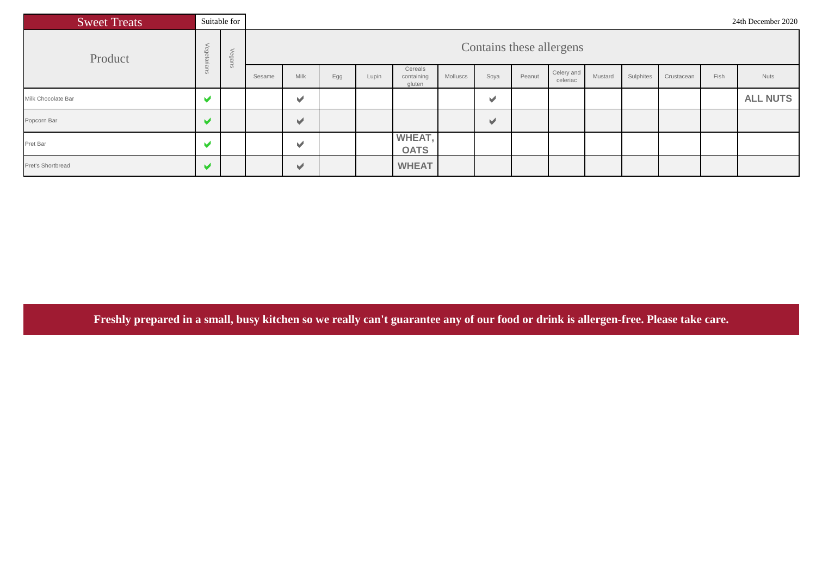| <b>Sweet Treats</b> |                          | Suitable for |        |                          |     |       |                                 |          |                       |        |                          |         |           |            |      | 24th December 2020 |
|---------------------|--------------------------|--------------|--------|--------------------------|-----|-------|---------------------------------|----------|-----------------------|--------|--------------------------|---------|-----------|------------|------|--------------------|
| Product             | Vege                     | Vegans       |        |                          |     |       |                                 |          |                       |        | Contains these allergens |         |           |            |      |                    |
|                     | $\epsilon$               |              | Sesame | Milk                     | Egg | Lupin | Cereals<br>containing<br>gluten | Molluscs | Soya                  | Peanut | Celery and<br>celeriac   | Mustard | Sulphites | Crustacean | Fish | <b>Nuts</b>        |
| Milk Chocolate Bar  |                          |              |        | $\overline{\phantom{a}}$ |     |       |                                 |          | $\blacktriangleright$ |        |                          |         |           |            |      | <b>ALL NUTS</b>    |
| Popcorn Bar         |                          |              |        | $\blacktriangleright$    |     |       |                                 |          | v                     |        |                          |         |           |            |      |                    |
| Pret Bar            |                          |              |        | $\blacktriangledown$     |     |       | <b>WHEAT,</b><br><b>OATS</b>    |          |                       |        |                          |         |           |            |      |                    |
| Pret's Shortbread   | $\overline{\phantom{a}}$ |              |        | $\blacktriangleright$    |     |       | <b>WHEAT</b>                    |          |                       |        |                          |         |           |            |      |                    |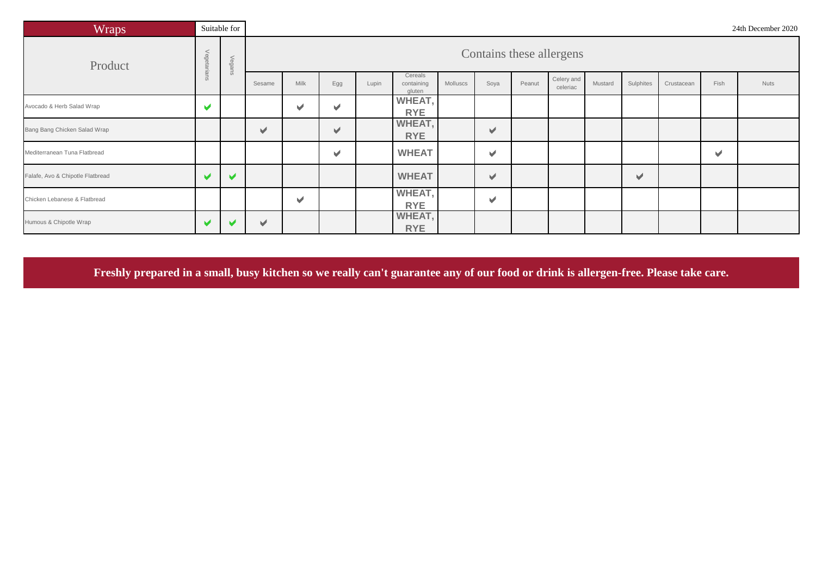| <b>Wraps</b>                     |                | Suitable for          | 24th December 2020 |                       |                       |       |                                 |          |                          |        |                          |         |                       |            |                       |             |
|----------------------------------|----------------|-----------------------|--------------------|-----------------------|-----------------------|-------|---------------------------------|----------|--------------------------|--------|--------------------------|---------|-----------------------|------------|-----------------------|-------------|
| Product                          | Vegeta         | Vegans                |                    |                       |                       |       |                                 |          |                          |        | Contains these allergens |         |                       |            |                       |             |
|                                  | $\overline{5}$ |                       | Sesame             | Milk                  | Egg                   | Lupin | Cereals<br>containing<br>gluten | Molluscs | Soya                     | Peanut | Celery and<br>celeriac   | Mustard | Sulphites             | Crustacean | Fish                  | <b>Nuts</b> |
| Avocado & Herb Salad Wrap        |                |                       |                    | v                     | V                     |       | WHEAT,<br><b>RYE</b>            |          |                          |        |                          |         |                       |            |                       |             |
| Bang Bang Chicken Salad Wrap     |                |                       | ✔                  |                       | $\blacktriangledown$  |       | WHEAT,<br><b>RYE</b>            |          | $\blacktriangleright$    |        |                          |         |                       |            |                       |             |
| Mediterranean Tuna Flatbread     |                |                       |                    |                       | $\blacktriangleright$ |       | <b>WHEAT</b>                    |          | $\blacktriangleright$    |        |                          |         |                       |            | $\blacktriangleright$ |             |
| Falafe, Avo & Chipotle Flatbread |                | $\blacktriangleright$ |                    |                       |                       |       | <b>WHEAT</b>                    |          | $\blacktriangleright$    |        |                          |         | $\blacktriangleright$ |            |                       |             |
| Chicken Lebanese & Flatbread     |                |                       |                    | $\blacktriangleright$ |                       |       | WHEAT,<br><b>RYE</b>            |          | $\overline{\phantom{a}}$ |        |                          |         |                       |            |                       |             |
| Humous & Chipotle Wrap           |                |                       | $\checkmark$       |                       |                       |       | WHEAT,<br><b>RYE</b>            |          |                          |        |                          |         |                       |            |                       |             |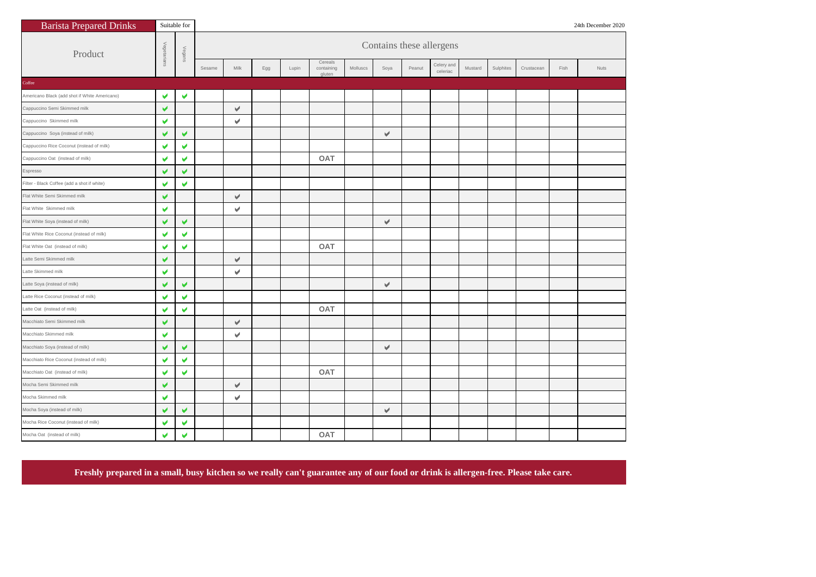| <b>Barista Prepared Drinks</b>                | Suitable for |        |                                                                                                                                                                                |   |     |  |            |  |   |  |          |  |  |  |  | 24th December 2020 |
|-----------------------------------------------|--------------|--------|--------------------------------------------------------------------------------------------------------------------------------------------------------------------------------|---|-----|--|------------|--|---|--|----------|--|--|--|--|--------------------|
| Product                                       | Vegetarians  | Vegans | Contains these allergens<br>Cereals<br>Celery and<br>Milk<br>Molluscs<br>Soya<br>Peanut<br>Mustard<br>Sulphites<br>Crustacean<br>Fish<br>Nuts<br>Sesame<br>Lupin<br>containing |   |     |  |            |  |   |  |          |  |  |  |  |                    |
|                                               |              |        |                                                                                                                                                                                |   | Egg |  | gluten     |  |   |  | celeriac |  |  |  |  |                    |
| Coffee                                        |              |        |                                                                                                                                                                                |   |     |  |            |  |   |  |          |  |  |  |  |                    |
| Americano Black (add shot if White Americano) | V            | v      |                                                                                                                                                                                |   |     |  |            |  |   |  |          |  |  |  |  |                    |
| Cappuccino Semi Skimmed milk                  | ✔            |        |                                                                                                                                                                                | v |     |  |            |  |   |  |          |  |  |  |  |                    |
| Cappuccino Skimmed milk                       | V            |        |                                                                                                                                                                                | v |     |  |            |  |   |  |          |  |  |  |  |                    |
| Cappuccino Soya (instead of milk)             | ✔            | ✔      |                                                                                                                                                                                |   |     |  |            |  | V |  |          |  |  |  |  |                    |
| Cappuccino Rice Coconut (instead of milk)     | V            | V      |                                                                                                                                                                                |   |     |  |            |  |   |  |          |  |  |  |  |                    |
| Cappuccino Oat (instead of milk)              | ✔            | v      |                                                                                                                                                                                |   |     |  | <b>OAT</b> |  |   |  |          |  |  |  |  |                    |
| Espresso                                      | ✔            | V      |                                                                                                                                                                                |   |     |  |            |  |   |  |          |  |  |  |  |                    |
| Filter - Black Coffee (add a shot if white)   | V            | V      |                                                                                                                                                                                |   |     |  |            |  |   |  |          |  |  |  |  |                    |
| Flat White Semi Skimmed milk                  | ✔            |        |                                                                                                                                                                                | V |     |  |            |  |   |  |          |  |  |  |  |                    |
| Flat White Skimmed milk                       | V            |        |                                                                                                                                                                                | v |     |  |            |  |   |  |          |  |  |  |  |                    |
| Flat White Soya (instead of milk)             | ✔            | ✔      |                                                                                                                                                                                |   |     |  |            |  | V |  |          |  |  |  |  |                    |
| Flat White Rice Coconut (instead of milk)     | V            | V      |                                                                                                                                                                                |   |     |  |            |  |   |  |          |  |  |  |  |                    |
| Flat White Oat (instead of milk)              | ✔            | V      |                                                                                                                                                                                |   |     |  | OAT        |  |   |  |          |  |  |  |  |                    |
| Latte Semi Skimmed milk                       | ✔            |        |                                                                                                                                                                                | v |     |  |            |  |   |  |          |  |  |  |  |                    |
| Latte Skimmed milk                            | V            |        |                                                                                                                                                                                | v |     |  |            |  |   |  |          |  |  |  |  |                    |
| Latte Soya (instead of milk)                  | ✔            | ✔      |                                                                                                                                                                                |   |     |  |            |  | v |  |          |  |  |  |  |                    |
| Latte Rice Coconut (instead of milk)          | V            | v      |                                                                                                                                                                                |   |     |  |            |  |   |  |          |  |  |  |  |                    |
| Latte Oat (instead of milk)                   | V            | ✔      |                                                                                                                                                                                |   |     |  | OAT        |  |   |  |          |  |  |  |  |                    |
| Macchiato Semi Skimmed milk                   | ✔            |        |                                                                                                                                                                                | v |     |  |            |  |   |  |          |  |  |  |  |                    |
| Macchiato Skimmed milk                        | V            |        |                                                                                                                                                                                | v |     |  |            |  |   |  |          |  |  |  |  |                    |
| Macchiato Soya (instead of milk)              | ✔            | V      |                                                                                                                                                                                |   |     |  |            |  | V |  |          |  |  |  |  |                    |
| Macchiato Rice Coconut (instead of milk)      | ✔            | V      |                                                                                                                                                                                |   |     |  |            |  |   |  |          |  |  |  |  |                    |
| Macchiato Oat (instead of milk)               | ✔            | V      |                                                                                                                                                                                |   |     |  | <b>OAT</b> |  |   |  |          |  |  |  |  |                    |
| Mocha Semi Skimmed milk                       | ✔            |        |                                                                                                                                                                                | V |     |  |            |  |   |  |          |  |  |  |  |                    |
| Mocha Skimmed milk                            | v            |        |                                                                                                                                                                                | v |     |  |            |  |   |  |          |  |  |  |  |                    |
| Mocha Soya (instead of milk)                  | ✔            | ✔      |                                                                                                                                                                                |   |     |  |            |  | V |  |          |  |  |  |  |                    |
| Mocha Rice Coconut (instead of milk)          | V            | v      |                                                                                                                                                                                |   |     |  |            |  |   |  |          |  |  |  |  |                    |
| Mocha Oat (instead of milk)                   | ✔            | V      |                                                                                                                                                                                |   |     |  | <b>OAT</b> |  |   |  |          |  |  |  |  |                    |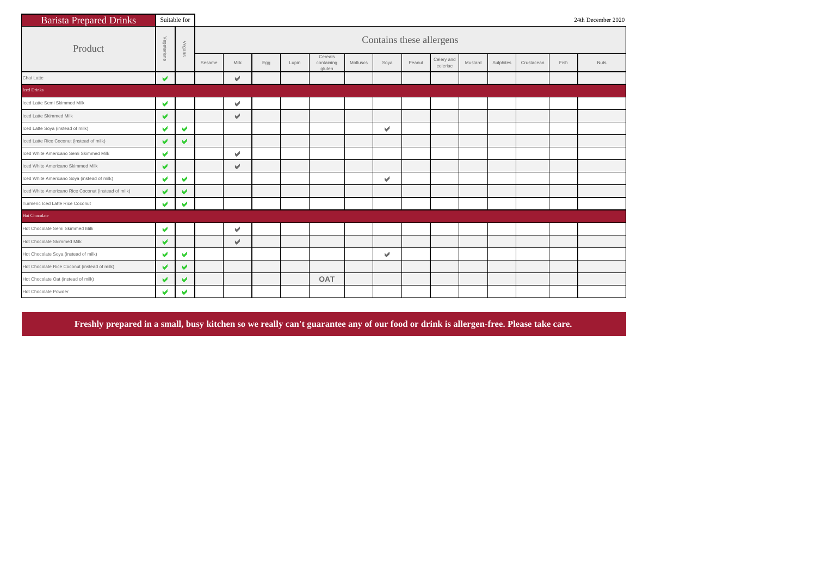| <b>Barista Prepared Drinks</b>                      | Suitable for |        | 24th December 2020 |             |     |       |                                 |          |      |        |                          |         |           |            |      |      |
|-----------------------------------------------------|--------------|--------|--------------------|-------------|-----|-------|---------------------------------|----------|------|--------|--------------------------|---------|-----------|------------|------|------|
| Product                                             | Vegetarians  | Vegans |                    |             |     |       |                                 |          |      |        | Contains these allergens |         |           |            |      |      |
|                                                     |              |        | Sesame             | <b>Milk</b> | Egg | Lupin | Cereals<br>containing<br>gluten | Molluscs | Soya | Peanut | Celery and<br>celeriac   | Mustard | Sulphites | Crustacean | Fish | Nuts |
| Chai Latte                                          | V            |        |                    | ✔           |     |       |                                 |          |      |        |                          |         |           |            |      |      |
| <b>Iced Drinks</b>                                  |              |        |                    |             |     |       |                                 |          |      |        |                          |         |           |            |      |      |
| Iced Latte Semi Skimmed Milk                        | ✔            |        |                    | V           |     |       |                                 |          |      |        |                          |         |           |            |      |      |
| Iced Latte Skimmed Milk                             | V            |        |                    | V           |     |       |                                 |          |      |        |                          |         |           |            |      |      |
| Iced Latte Soya (instead of milk)                   | V            | V      |                    |             |     |       |                                 |          | V    |        |                          |         |           |            |      |      |
| Iced Latte Rice Coconut (instead of milk)           | V            | V      |                    |             |     |       |                                 |          |      |        |                          |         |           |            |      |      |
| Iced White Americano Semi Skimmed Milk              | v            |        |                    | V           |     |       |                                 |          |      |        |                          |         |           |            |      |      |
| Iced White Americano Skimmed Milk                   | ✔            |        |                    | V           |     |       |                                 |          |      |        |                          |         |           |            |      |      |
| Iced White Americano Soya (instead of milk)         | v            | v      |                    |             |     |       |                                 |          | v    |        |                          |         |           |            |      |      |
| Iced White Americano Rice Coconut (instead of milk) | ✔            | ✔      |                    |             |     |       |                                 |          |      |        |                          |         |           |            |      |      |
| Turmeric Iced Latte Rice Coconut                    | V            | V      |                    |             |     |       |                                 |          |      |        |                          |         |           |            |      |      |
| <b>Hot Chocolate</b>                                |              |        |                    |             |     |       |                                 |          |      |        |                          |         |           |            |      |      |
| Hot Chocolate Semi Skimmed Milk                     | ✔            |        |                    | V           |     |       |                                 |          |      |        |                          |         |           |            |      |      |
| Hot Chocolate Skimmed Milk                          | V            |        |                    | V           |     |       |                                 |          |      |        |                          |         |           |            |      |      |
| Hot Chocolate Soya (instead of milk)                | v            | v      |                    |             |     |       |                                 |          | Μ    |        |                          |         |           |            |      |      |
| Hot Chocolate Rice Coconut (instead of milk)        | V            | ✔      |                    |             |     |       |                                 |          |      |        |                          |         |           |            |      |      |
| Hot Chocolate Oat (instead of milk)                 | V            | ✔      |                    |             |     |       | <b>OAT</b>                      |          |      |        |                          |         |           |            |      |      |
| Hot Chocolate Powder                                | v            | ✔      |                    |             |     |       |                                 |          |      |        |                          |         |           |            |      |      |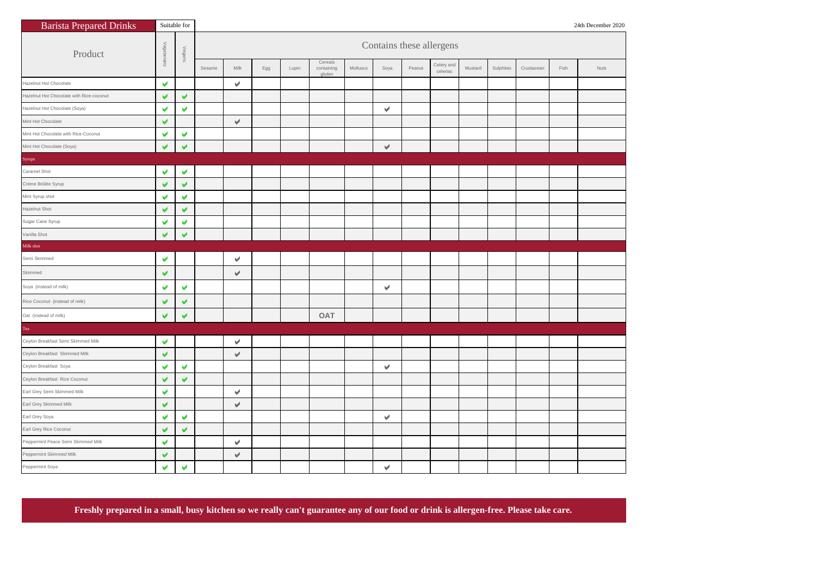| <b>Barista Prepared Drinks</b>           |                  | Suitable for          |        |                       |     |       |                                 |          |      |                          |                        |         |           |            |      | 24th December 2020 |
|------------------------------------------|------------------|-----------------------|--------|-----------------------|-----|-------|---------------------------------|----------|------|--------------------------|------------------------|---------|-----------|------------|------|--------------------|
| Product                                  | Vegetarians<br>V | Vegans                |        |                       |     |       |                                 |          |      | Contains these allergens |                        |         |           |            |      |                    |
|                                          |                  |                       | Sesame | $\mathsf{Milk}$       | Egg | Lupin | Cereals<br>containing<br>gluten | Molluscs | Soya | Peanut                   | Celery and<br>celeriac | Mustard | Sulphites | Crustacean | Fish | Nuts               |
| Hazelnut Hot Chocolate                   |                  |                       |        | V                     |     |       |                                 |          |      |                          |                        |         |           |            |      |                    |
| Hazelnut Hot Chocolate with Rice-coconut | ✔                | ✔                     |        |                       |     |       |                                 |          |      |                          |                        |         |           |            |      |                    |
| Hazelnut Hot Chocolate (Soya)            | V                | $\blacktriangledown$  |        |                       |     |       |                                 |          | V    |                          |                        |         |           |            |      |                    |
| Mint Hot Chocolate                       | ✔                |                       |        | $\vee$                |     |       |                                 |          |      |                          |                        |         |           |            |      |                    |
| Mint Hot Chocolate with Rice-Coconut     | v                | $\blacktriangledown$  |        |                       |     |       |                                 |          |      |                          |                        |         |           |            |      |                    |
| Mint Hot Chocolate (Soya)                | V                | V                     |        |                       |     |       |                                 |          | ✔    |                          |                        |         |           |            |      |                    |
| $\operatorname{Syrups}$                  |                  |                       |        |                       |     |       |                                 |          |      |                          |                        |         |           |            |      |                    |
| Caramel Shot                             | v                | V                     |        |                       |     |       |                                 |          |      |                          |                        |         |           |            |      |                    |
| Crème Brûlée Syrup                       | V                | V                     |        |                       |     |       |                                 |          |      |                          |                        |         |           |            |      |                    |
| Mint Syrup shot                          | V                | V                     |        |                       |     |       |                                 |          |      |                          |                        |         |           |            |      |                    |
| Hazelnut Shot                            | ✔                | $\blacktriangleright$ |        |                       |     |       |                                 |          |      |                          |                        |         |           |            |      |                    |
| Sugar Cane Syrup                         | V                | $\blacktriangledown$  |        |                       |     |       |                                 |          |      |                          |                        |         |           |            |      |                    |
| Vanilla Shot                             | V                | $\blacktriangledown$  |        |                       |     |       |                                 |          |      |                          |                        |         |           |            |      |                    |
| Milk shot                                |                  |                       |        |                       |     |       |                                 |          |      |                          |                        |         |           |            |      |                    |
| Semi Skimmed                             | V                |                       |        | $\blacktriangledown$  |     |       |                                 |          |      |                          |                        |         |           |            |      |                    |
| Skimmed                                  | ✔                |                       |        | V                     |     |       |                                 |          |      |                          |                        |         |           |            |      |                    |
| Soya (instead of milk)                   | ✔                | V                     |        |                       |     |       |                                 |          | V    |                          |                        |         |           |            |      |                    |
| Rice Coconut (instead of milk)           | ✔                | V                     |        |                       |     |       |                                 |          |      |                          |                        |         |           |            |      |                    |
| Oat (instead of milk)                    | ✔                | $\blacktriangledown$  |        |                       |     |       | <b>OAT</b>                      |          |      |                          |                        |         |           |            |      |                    |
| Tea                                      |                  |                       |        |                       |     |       |                                 |          |      |                          |                        |         |           |            |      |                    |
| Ceylon Breakfast Semi Skimmed Milk       | V                |                       |        | V                     |     |       |                                 |          |      |                          |                        |         |           |            |      |                    |
| Ceylon Breakfast Skimmed Milk            | V                |                       |        | v                     |     |       |                                 |          |      |                          |                        |         |           |            |      |                    |
| Ceylon Breakfast Soya                    | V                | V                     |        |                       |     |       |                                 |          | v    |                          |                        |         |           |            |      |                    |
| Ceylon Breakfast Rice Coconut            | ✔                | V                     |        |                       |     |       |                                 |          |      |                          |                        |         |           |            |      |                    |
| Earl Grey Semi Skimmed Milk              | v                |                       |        | $\blacktriangleright$ |     |       |                                 |          |      |                          |                        |         |           |            |      |                    |
| Earl Grey Skimmed Milk                   | ✔                |                       |        | V                     |     |       |                                 |          |      |                          |                        |         |           |            |      |                    |
| Earl Grey Soya                           | V                | $\blacktriangledown$  |        |                       |     |       |                                 |          | V    |                          |                        |         |           |            |      |                    |
| Earl Grey Rice Coconut                   | V                | $\blacktriangledown$  |        |                       |     |       |                                 |          |      |                          |                        |         |           |            |      |                    |
| Peppermint Peace Semi Skimmed Milk       | v                |                       |        | $\checkmark$          |     |       |                                 |          |      |                          |                        |         |           |            |      |                    |
| Peppermint Skimmed Milk                  | v                |                       |        | V                     |     |       |                                 |          |      |                          |                        |         |           |            |      |                    |
| Peppermint Soya                          | V                | V                     |        |                       |     |       |                                 |          | v    |                          |                        |         |           |            |      |                    |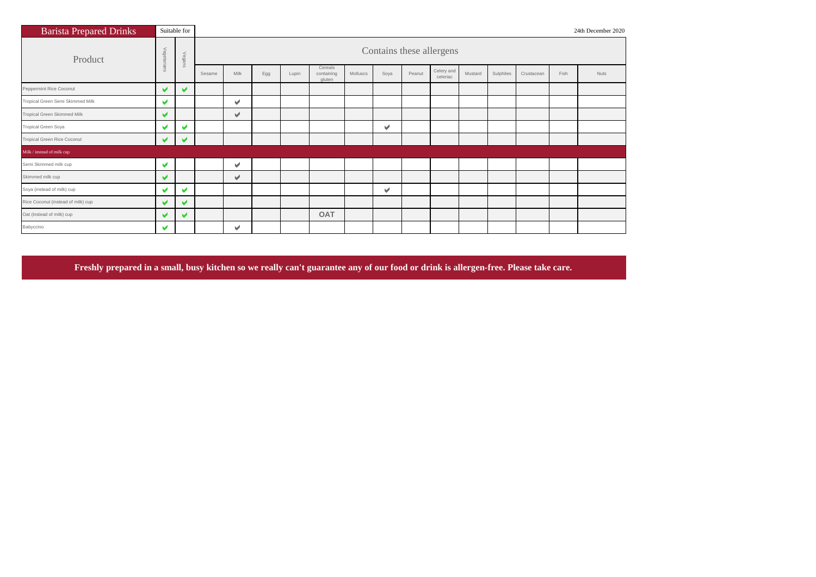| <b>Barista Prepared Drinks</b>     | Suitable for          |                        |        | 24th December 2020 |     |       |                                 |          |      |        |                          |         |           |            |      |      |
|------------------------------------|-----------------------|------------------------|--------|--------------------|-----|-------|---------------------------------|----------|------|--------|--------------------------|---------|-----------|------------|------|------|
| Product                            | Vegetarians           | Vega<br>$\overline{5}$ |        |                    |     |       |                                 |          |      |        | Contains these allergens |         |           |            |      |      |
|                                    |                       |                        | Sesame | Milk               | Egg | Lupin | Cereals<br>containing<br>gluten | Molluscs | Soya | Peanut | Celery and<br>celeriac   | Mustard | Sulphites | Crustacean | Fish | Nuts |
| Peppermint Rice Coconut            | V                     | ✔                      |        |                    |     |       |                                 |          |      |        |                          |         |           |            |      |      |
| Tropical Green Semi Skimmed Milk   | v                     |                        |        | $\checkmark$       |     |       |                                 |          |      |        |                          |         |           |            |      |      |
| Tropical Green Skimmed Milk        | $\checkmark$          |                        |        | V                  |     |       |                                 |          |      |        |                          |         |           |            |      |      |
| Tropical Green Soya                | M                     | v                      |        |                    |     |       |                                 |          | v    |        |                          |         |           |            |      |      |
| <b>Tropical Green Rice Coconut</b> | v                     | V                      |        |                    |     |       |                                 |          |      |        |                          |         |           |            |      |      |
| Milk / instead of milk cup         |                       |                        |        |                    |     |       |                                 |          |      |        |                          |         |           |            |      |      |
| Semi Skimmed milk cup              | v                     |                        |        | v                  |     |       |                                 |          |      |        |                          |         |           |            |      |      |
| Skimmed milk cup                   | $\blacktriangleright$ |                        |        | V                  |     |       |                                 |          |      |        |                          |         |           |            |      |      |
| Soya (instead of milk) cup         | v                     | v                      |        |                    |     |       |                                 |          | v    |        |                          |         |           |            |      |      |
| Rice Coconut (instead of milk) cup | V                     | ✔                      |        |                    |     |       |                                 |          |      |        |                          |         |           |            |      |      |
| Oat (instead of milk) cup          | $\blacktriangleright$ | ✔                      |        |                    |     |       | <b>OAT</b>                      |          |      |        |                          |         |           |            |      |      |
| Babyccino                          | $\checkmark$          |                        |        | V                  |     |       |                                 |          |      |        |                          |         |           |            |      |      |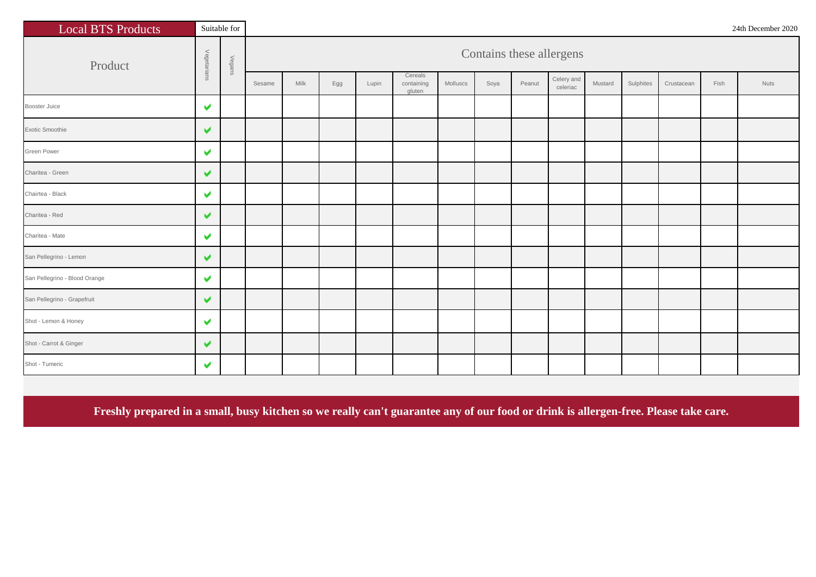| <b>Local BTS Products</b>     |                       | Suitable for |        |      |     |       |                                 |          |      |                          |                        |         |           |            |      | 24th December 2020 |
|-------------------------------|-----------------------|--------------|--------|------|-----|-------|---------------------------------|----------|------|--------------------------|------------------------|---------|-----------|------------|------|--------------------|
| Product                       | Vegetarians           | Vegans       |        |      |     |       |                                 |          |      | Contains these allergens |                        |         |           |            |      |                    |
|                               |                       |              | Sesame | Milk | Egg | Lupin | Cereals<br>containing<br>gluten | Molluscs | Soya | Peanut                   | Celery and<br>celeriac | Mustard | Sulphites | Crustacean | Fish | <b>Nuts</b>        |
| Booster Juice                 | V                     |              |        |      |     |       |                                 |          |      |                          |                        |         |           |            |      |                    |
| <b>Exotic Smoothie</b>        | ✔                     |              |        |      |     |       |                                 |          |      |                          |                        |         |           |            |      |                    |
| Green Power                   | $\blacktriangledown$  |              |        |      |     |       |                                 |          |      |                          |                        |         |           |            |      |                    |
| Charitea - Green              | $\blacktriangledown$  |              |        |      |     |       |                                 |          |      |                          |                        |         |           |            |      |                    |
| Chairtea - Black              | $\blacktriangleright$ |              |        |      |     |       |                                 |          |      |                          |                        |         |           |            |      |                    |
| Charitea - Red                | V                     |              |        |      |     |       |                                 |          |      |                          |                        |         |           |            |      |                    |
| Charitea - Mate               | $\blacktriangleright$ |              |        |      |     |       |                                 |          |      |                          |                        |         |           |            |      |                    |
| San Pellegrino - Lemon        | $\blacktriangledown$  |              |        |      |     |       |                                 |          |      |                          |                        |         |           |            |      |                    |
| San Pellegrino - Blood Orange | $\blacktriangleright$ |              |        |      |     |       |                                 |          |      |                          |                        |         |           |            |      |                    |
| San Pellegrino - Grapefruit   | $\blacktriangleright$ |              |        |      |     |       |                                 |          |      |                          |                        |         |           |            |      |                    |
| Shot - Lemon & Honey          | $\blacktriangledown$  |              |        |      |     |       |                                 |          |      |                          |                        |         |           |            |      |                    |
| Shot - Carrot & Ginger        | $\blacktriangledown$  |              |        |      |     |       |                                 |          |      |                          |                        |         |           |            |      |                    |
| Shot - Tumeric                | $\blacktriangleright$ |              |        |      |     |       |                                 |          |      |                          |                        |         |           |            |      |                    |